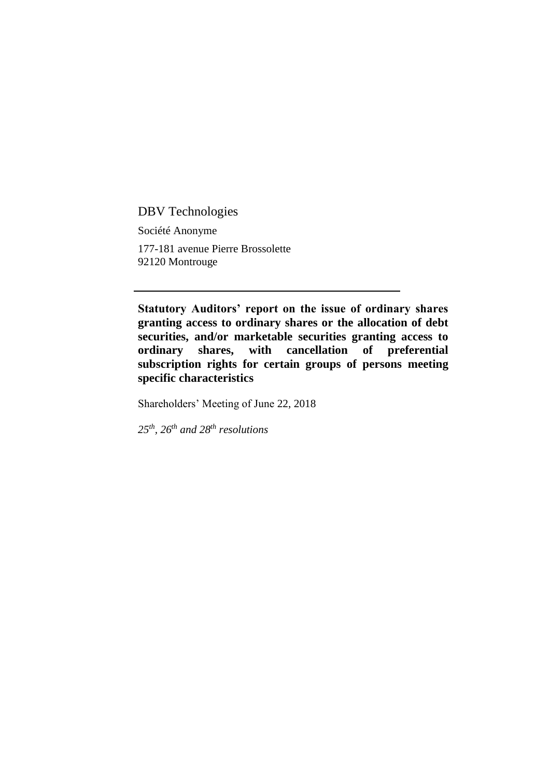DBV Technologies

Société Anonyme 177-181 avenue Pierre Brossolette 92120 Montrouge

**Statutory Auditors' report on the issue of ordinary shares granting access to ordinary shares or the allocation of debt securities, and/or marketable securities granting access to ordinary shares, with cancellation of preferential subscription rights for certain groups of persons meeting specific characteristics**

Shareholders' Meeting of June 22, 2018

*25th, 26th and 28th resolutions*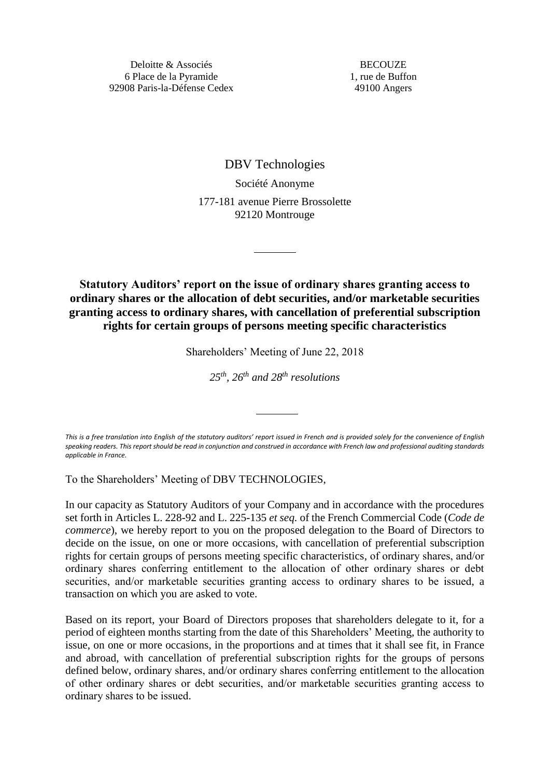**BECOUZE** 1, rue de Buffon 49100 Angers

DBV Technologies Société Anonyme 177-181 avenue Pierre Brossolette 92120 Montrouge

**Statutory Auditors' report on the issue of ordinary shares granting access to ordinary shares or the allocation of debt securities, and/or marketable securities granting access to ordinary shares, with cancellation of preferential subscription rights for certain groups of persons meeting specific characteristics**

Shareholders' Meeting of June 22, 2018

*25th , 26th and 28th resolutions*

*This is a free translation into English of the statutory auditors' report issued in French and is provided solely for the convenience of English speaking readers. This report should be read in conjunction and construed in accordance with French law and professional auditing standards applicable in France.*

To the Shareholders' Meeting of DBV TECHNOLOGIES,

In our capacity as Statutory Auditors of your Company and in accordance with the procedures set forth in Articles L. 228-92 and L. 225-135 *et seq.* of the French Commercial Code (*Code de commerce*), we hereby report to you on the proposed delegation to the Board of Directors to decide on the issue, on one or more occasions, with cancellation of preferential subscription rights for certain groups of persons meeting specific characteristics, of ordinary shares, and/or ordinary shares conferring entitlement to the allocation of other ordinary shares or debt securities, and/or marketable securities granting access to ordinary shares to be issued, a transaction on which you are asked to vote.

Based on its report, your Board of Directors proposes that shareholders delegate to it, for a period of eighteen months starting from the date of this Shareholders' Meeting, the authority to issue, on one or more occasions, in the proportions and at times that it shall see fit, in France and abroad, with cancellation of preferential subscription rights for the groups of persons defined below, ordinary shares, and/or ordinary shares conferring entitlement to the allocation of other ordinary shares or debt securities, and/or marketable securities granting access to ordinary shares to be issued.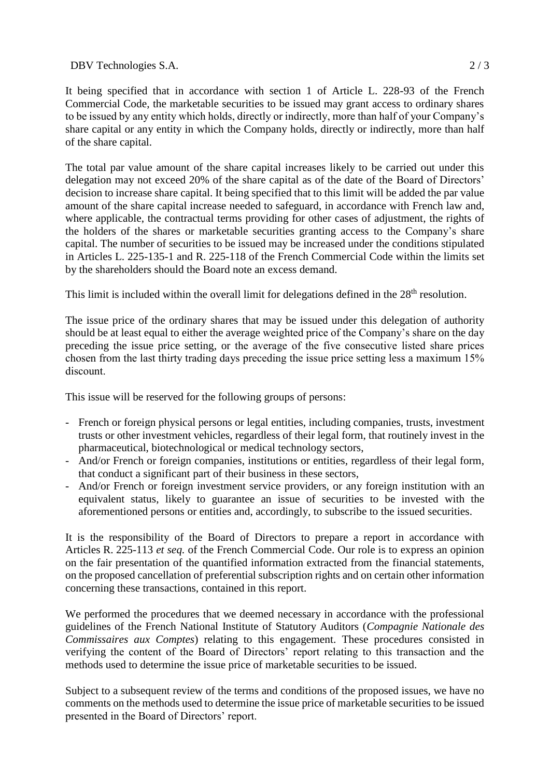DBV Technologies S.A. 2/3

It being specified that in accordance with section 1 of Article L. 228-93 of the French Commercial Code, the marketable securities to be issued may grant access to ordinary shares to be issued by any entity which holds, directly or indirectly, more than half of your Company's share capital or any entity in which the Company holds, directly or indirectly, more than half of the share capital.

The total par value amount of the share capital increases likely to be carried out under this delegation may not exceed 20% of the share capital as of the date of the Board of Directors' decision to increase share capital. It being specified that to this limit will be added the par value amount of the share capital increase needed to safeguard, in accordance with French law and, where applicable, the contractual terms providing for other cases of adjustment, the rights of the holders of the shares or marketable securities granting access to the Company's share capital. The number of securities to be issued may be increased under the conditions stipulated in Articles L. 225-135-1 and R. 225-118 of the French Commercial Code within the limits set by the shareholders should the Board note an excess demand.

This limit is included within the overall limit for delegations defined in the 28<sup>th</sup> resolution.

The issue price of the ordinary shares that may be issued under this delegation of authority should be at least equal to either the average weighted price of the Company's share on the day preceding the issue price setting, or the average of the five consecutive listed share prices chosen from the last thirty trading days preceding the issue price setting less a maximum 15% discount.

This issue will be reserved for the following groups of persons:

- French or foreign physical persons or legal entities, including companies, trusts, investment trusts or other investment vehicles, regardless of their legal form, that routinely invest in the pharmaceutical, biotechnological or medical technology sectors,
- And/or French or foreign companies, institutions or entities, regardless of their legal form, that conduct a significant part of their business in these sectors,
- And/or French or foreign investment service providers, or any foreign institution with an equivalent status, likely to guarantee an issue of securities to be invested with the aforementioned persons or entities and, accordingly, to subscribe to the issued securities.

It is the responsibility of the Board of Directors to prepare a report in accordance with Articles R. 225-113 *et seq.* of the French Commercial Code. Our role is to express an opinion on the fair presentation of the quantified information extracted from the financial statements, on the proposed cancellation of preferential subscription rights and on certain other information concerning these transactions, contained in this report.

We performed the procedures that we deemed necessary in accordance with the professional guidelines of the French National Institute of Statutory Auditors (*Compagnie Nationale des Commissaires aux Comptes*) relating to this engagement. These procedures consisted in verifying the content of the Board of Directors' report relating to this transaction and the methods used to determine the issue price of marketable securities to be issued.

Subject to a subsequent review of the terms and conditions of the proposed issues, we have no comments on the methods used to determine the issue price of marketable securities to be issued presented in the Board of Directors' report.